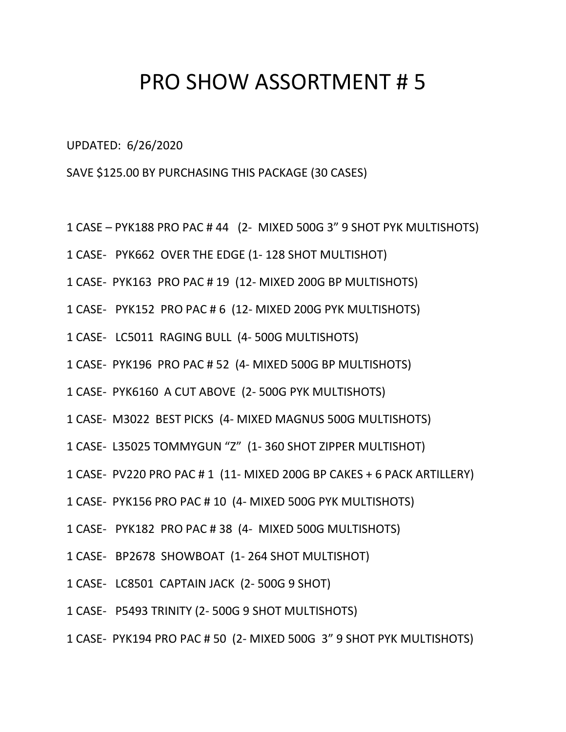## PRO SHOW ASSORTMENT # 5

UPDATED: 6/26/2020

SAVE \$125.00 BY PURCHASING THIS PACKAGE (30 CASES)

- 1 CASE PYK188 PRO PAC # 44 (2- MIXED 500G 3" 9 SHOT PYK MULTISHOTS)
- 1 CASE- PYK662 OVER THE EDGE (1- 128 SHOT MULTISHOT)
- 1 CASE- PYK163 PRO PAC # 19 (12- MIXED 200G BP MULTISHOTS)
- 1 CASE- PYK152 PRO PAC # 6 (12- MIXED 200G PYK MULTISHOTS)
- 1 CASE- LC5011 RAGING BULL (4- 500G MULTISHOTS)
- 1 CASE- PYK196 PRO PAC # 52 (4- MIXED 500G BP MULTISHOTS)
- 1 CASE- PYK6160 A CUT ABOVE (2- 500G PYK MULTISHOTS)
- 1 CASE- M3022 BEST PICKS (4- MIXED MAGNUS 500G MULTISHOTS)
- 1 CASE- L35025 TOMMYGUN "Z" (1- 360 SHOT ZIPPER MULTISHOT)
- 1 CASE- PV220 PRO PAC # 1 (11- MIXED 200G BP CAKES + 6 PACK ARTILLERY)
- 1 CASE- PYK156 PRO PAC # 10 (4- MIXED 500G PYK MULTISHOTS)
- 1 CASE- PYK182 PRO PAC # 38 (4- MIXED 500G MULTISHOTS)
- 1 CASE- BP2678 SHOWBOAT (1- 264 SHOT MULTISHOT)
- 1 CASE- LC8501 CAPTAIN JACK (2- 500G 9 SHOT)
- 1 CASE- P5493 TRINITY (2- 500G 9 SHOT MULTISHOTS)
- 1 CASE- PYK194 PRO PAC # 50 (2- MIXED 500G 3" 9 SHOT PYK MULTISHOTS)